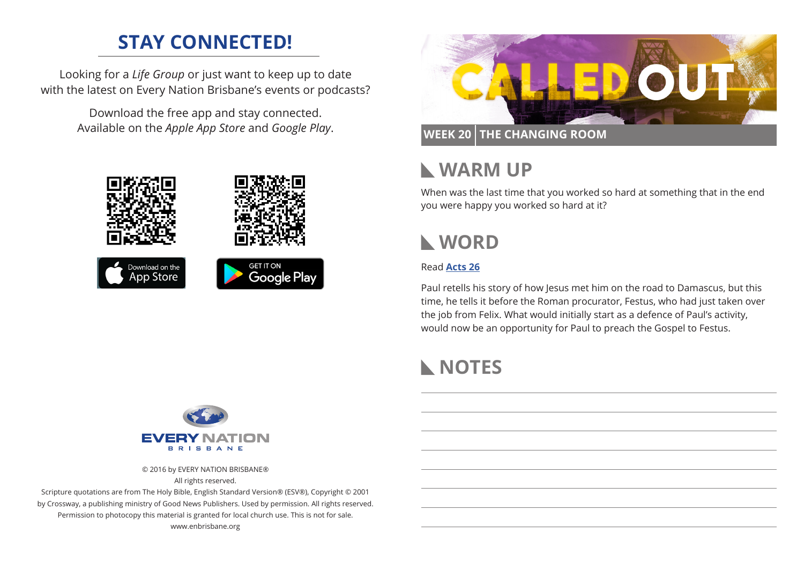## **STAY CONNECTED!**

Looking for a *Life Group* or just want to keep up to date with the latest on Every Nation Brisbane's events or podcasts?

> Download the free app and stay connected. Available on the *Apple App Store* and *Google Play*.





### **WEEK 20 THE CHANGING ROOM**

## **WARM UP**

When was the last time that you worked so hard at something that in the end you were happy you worked so hard at it?

# **WORD**

#### Read **[Acts 26](https://www.biblegateway.com/passage/?search=Acts+26&version=ESV)**

Paul retells his story of how Jesus met him on the road to Damascus, but this time, he tells it before the Roman procurator, Festus, who had just taken over the job from Felix. What would initially start as a defence of Paul's activity, would now be an opportunity for Paul to preach the Gospel to Festus.

# **NOTES**



© 2016 by EVERY NATION BRISBANE®

All rights reserved.

Scripture quotations are from The Holy Bible, English Standard Version® (ESV®), Copyright © 2001 by Crossway, a publishing ministry of Good News Publishers. Used by permission. All rights reserved. Permission to photocopy this material is granted for local church use. This is not for sale. www.enbrisbane.org